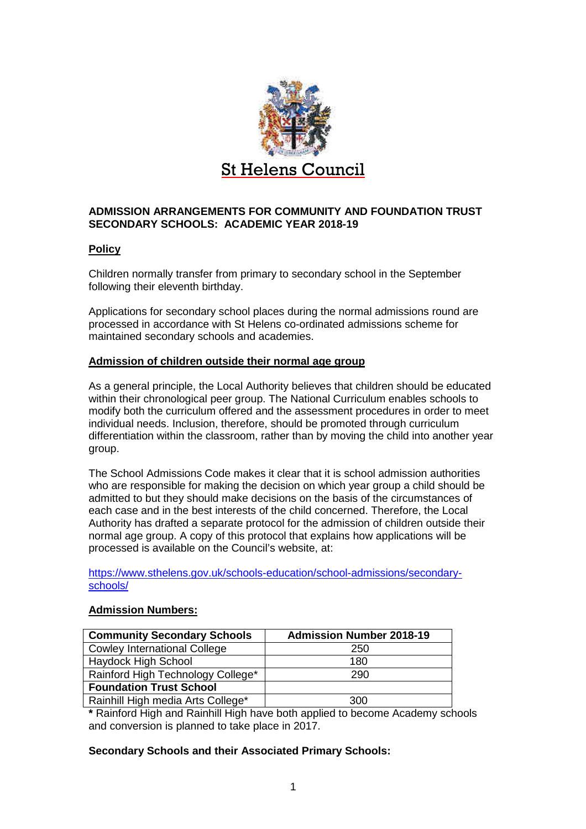

# **ADMISSION ARRANGEMENTS FOR COMMUNITY AND FOUNDATION TRUST SECONDARY SCHOOLS: ACADEMIC YEAR 2018-19**

# **Policy**

Children normally transfer from primary to secondary school in the September following their eleventh birthday.

Applications for secondary school places during the normal admissions round are processed in accordance with St Helens co-ordinated admissions scheme for maintained secondary schools and academies.

# **Admission of children outside their normal age group**

As a general principle, the Local Authority believes that children should be educated within their chronological peer group. The National Curriculum enables schools to modify both the curriculum offered and the assessment procedures in order to meet individual needs. Inclusion, therefore, should be promoted through curriculum differentiation within the classroom, rather than by moving the child into another year group.

The School Admissions Code makes it clear that it is school admission authorities who are responsible for making the decision on which year group a child should be admitted to but they should make decisions on the basis of the circumstances of each case and in the best interests of the child concerned. Therefore, the Local Authority has drafted a separate protocol for the admission of children outside their normal age group. A copy of this protocol that explains how applications will be processed is available on the Council's website, at:

https://www.sthelens.gov.uk/schools-education/school-admissions/secondaryschools/

## **Admission Numbers:**

| <b>Community Secondary Schools</b>  | <b>Admission Number 2018-19</b> |  |
|-------------------------------------|---------------------------------|--|
| <b>Cowley International College</b> | 250                             |  |
| Haydock High School                 | 180                             |  |
| Rainford High Technology College*   | 290                             |  |
| <b>Foundation Trust School</b>      |                                 |  |
| Rainhill High media Arts College*   | <b>300</b>                      |  |

**\*** Rainford High and Rainhill High have both applied to become Academy schools and conversion is planned to take place in 2017.

## **Secondary Schools and their Associated Primary Schools:**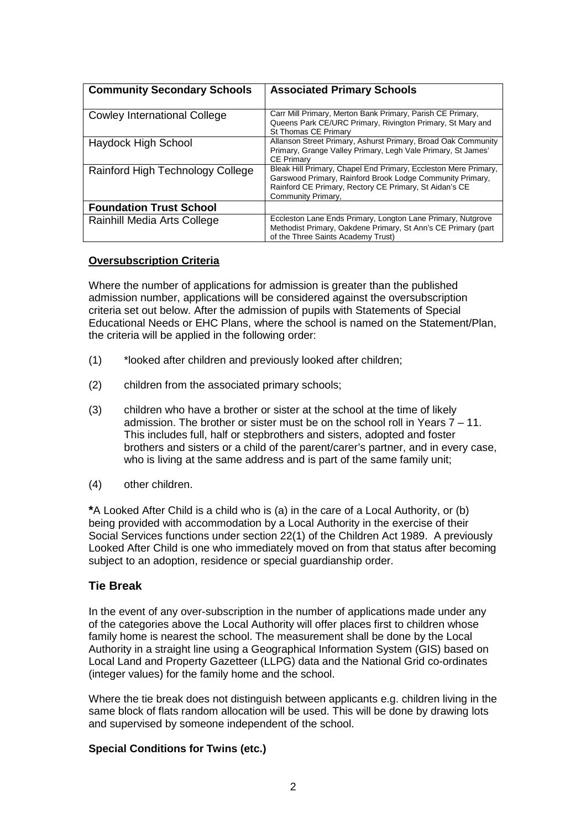| <b>Community Secondary Schools</b>  | <b>Associated Primary Schools</b>                                                                                                                                                                            |
|-------------------------------------|--------------------------------------------------------------------------------------------------------------------------------------------------------------------------------------------------------------|
| <b>Cowley International College</b> | Carr Mill Primary, Merton Bank Primary, Parish CE Primary,<br>Queens Park CE/URC Primary, Rivington Primary, St Mary and<br>St Thomas CE Primary                                                             |
| Haydock High School                 | Allanson Street Primary, Ashurst Primary, Broad Oak Community<br>Primary, Grange Valley Primary, Legh Vale Primary, St James'<br><b>CE Primary</b>                                                           |
| Rainford High Technology College    | Bleak Hill Primary, Chapel End Primary, Eccleston Mere Primary,<br>Garswood Primary, Rainford Brook Lodge Community Primary,<br>Rainford CE Primary, Rectory CE Primary, St Aidan's CE<br>Community Primary, |
| <b>Foundation Trust School</b>      |                                                                                                                                                                                                              |
| Rainhill Media Arts College         | Eccleston Lane Ends Primary, Longton Lane Primary, Nutgrove<br>Methodist Primary, Oakdene Primary, St Ann's CE Primary (part<br>of the Three Saints Academy Trust)                                           |

### **Oversubscription Criteria**

Where the number of applications for admission is greater than the published admission number, applications will be considered against the oversubscription criteria set out below. After the admission of pupils with Statements of Special Educational Needs or EHC Plans, where the school is named on the Statement/Plan, the criteria will be applied in the following order:

- (1) \*looked after children and previously looked after children;
- (2) children from the associated primary schools;
- (3) children who have a brother or sister at the school at the time of likely admission. The brother or sister must be on the school roll in Years 7 – 11. This includes full, half or stepbrothers and sisters, adopted and foster brothers and sisters or a child of the parent/carer's partner, and in every case, who is living at the same address and is part of the same family unit;
- (4) other children.

**\***A Looked After Child is a child who is (a) in the care of a Local Authority, or (b) being provided with accommodation by a Local Authority in the exercise of their Social Services functions under section 22(1) of the Children Act 1989. A previously Looked After Child is one who immediately moved on from that status after becoming subject to an adoption, residence or special guardianship order.

## **Tie Break**

In the event of any over-subscription in the number of applications made under any of the categories above the Local Authority will offer places first to children whose family home is nearest the school. The measurement shall be done by the Local Authority in a straight line using a Geographical Information System (GIS) based on Local Land and Property Gazetteer (LLPG) data and the National Grid co-ordinates (integer values) for the family home and the school.

Where the tie break does not distinguish between applicants e.g. children living in the same block of flats random allocation will be used. This will be done by drawing lots and supervised by someone independent of the school.

## **Special Conditions for Twins (etc.)**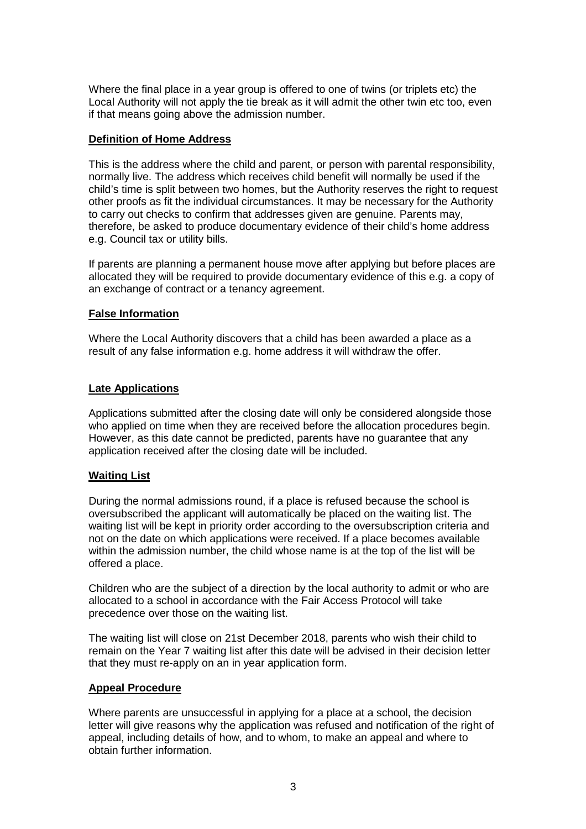Where the final place in a year group is offered to one of twins (or triplets etc) the Local Authority will not apply the tie break as it will admit the other twin etc too, even if that means going above the admission number.

### **Definition of Home Address**

This is the address where the child and parent, or person with parental responsibility, normally live. The address which receives child benefit will normally be used if the child's time is split between two homes, but the Authority reserves the right to request other proofs as fit the individual circumstances. It may be necessary for the Authority to carry out checks to confirm that addresses given are genuine. Parents may, therefore, be asked to produce documentary evidence of their child's home address e.g. Council tax or utility bills.

If parents are planning a permanent house move after applying but before places are allocated they will be required to provide documentary evidence of this e.g. a copy of an exchange of contract or a tenancy agreement.

## **False Information**

Where the Local Authority discovers that a child has been awarded a place as a result of any false information e.g. home address it will withdraw the offer.

## **Late Applications**

Applications submitted after the closing date will only be considered alongside those who applied on time when they are received before the allocation procedures begin. However, as this date cannot be predicted, parents have no guarantee that any application received after the closing date will be included.

## **Waiting List**

During the normal admissions round, if a place is refused because the school is oversubscribed the applicant will automatically be placed on the waiting list. The waiting list will be kept in priority order according to the oversubscription criteria and not on the date on which applications were received. If a place becomes available within the admission number, the child whose name is at the top of the list will be offered a place.

Children who are the subject of a direction by the local authority to admit or who are allocated to a school in accordance with the Fair Access Protocol will take precedence over those on the waiting list.

The waiting list will close on 21st December 2018, parents who wish their child to remain on the Year 7 waiting list after this date will be advised in their decision letter that they must re-apply on an in year application form.

## **Appeal Procedure**

Where parents are unsuccessful in applying for a place at a school, the decision letter will give reasons why the application was refused and notification of the right of appeal, including details of how, and to whom, to make an appeal and where to obtain further information.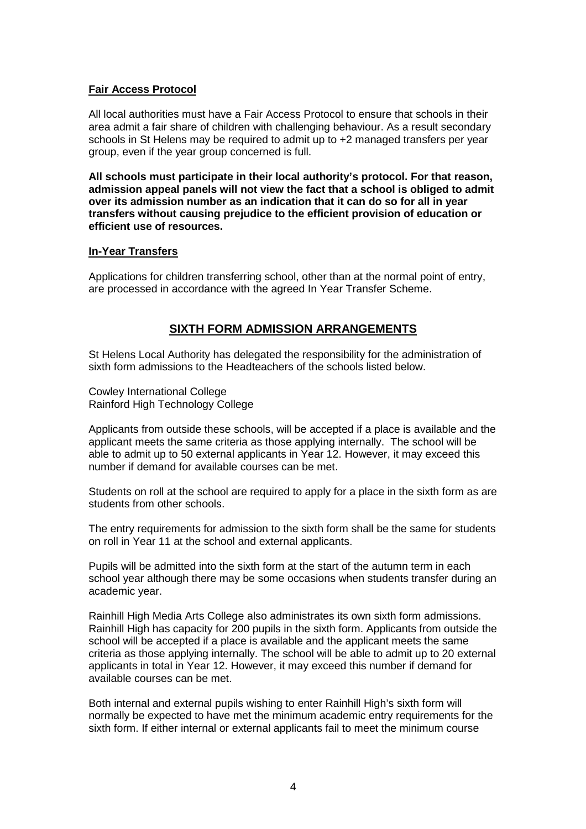## **Fair Access Protocol**

All local authorities must have a Fair Access Protocol to ensure that schools in their area admit a fair share of children with challenging behaviour. As a result secondary schools in St Helens may be required to admit up to +2 managed transfers per year group, even if the year group concerned is full.

**All schools must participate in their local authority's protocol. For that reason, admission appeal panels will not view the fact that a school is obliged to admit over its admission number as an indication that it can do so for all in year transfers without causing prejudice to the efficient provision of education or efficient use of resources.** 

### **In-Year Transfers**

Applications for children transferring school, other than at the normal point of entry, are processed in accordance with the agreed In Year Transfer Scheme.

# **SIXTH FORM ADMISSION ARRANGEMENTS**

St Helens Local Authority has delegated the responsibility for the administration of sixth form admissions to the Headteachers of the schools listed below.

Cowley International College Rainford High Technology College

Applicants from outside these schools, will be accepted if a place is available and the applicant meets the same criteria as those applying internally. The school will be able to admit up to 50 external applicants in Year 12. However, it may exceed this number if demand for available courses can be met.

Students on roll at the school are required to apply for a place in the sixth form as are students from other schools.

The entry requirements for admission to the sixth form shall be the same for students on roll in Year 11 at the school and external applicants.

Pupils will be admitted into the sixth form at the start of the autumn term in each school year although there may be some occasions when students transfer during an academic year.

Rainhill High Media Arts College also administrates its own sixth form admissions. Rainhill High has capacity for 200 pupils in the sixth form. Applicants from outside the school will be accepted if a place is available and the applicant meets the same criteria as those applying internally. The school will be able to admit up to 20 external applicants in total in Year 12. However, it may exceed this number if demand for available courses can be met.

Both internal and external pupils wishing to enter Rainhill High's sixth form will normally be expected to have met the minimum academic entry requirements for the sixth form. If either internal or external applicants fail to meet the minimum course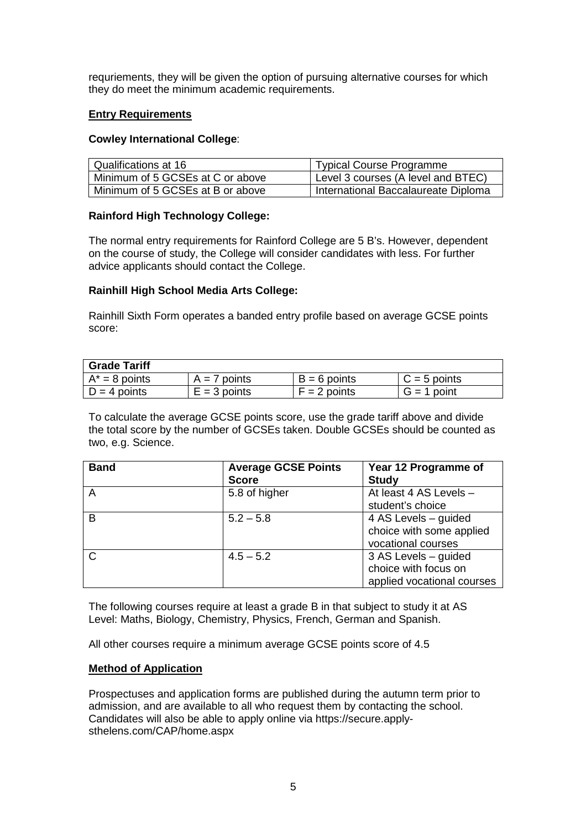requriements, they will be given the option of pursuing alternative courses for which they do meet the minimum academic requirements.

### **Entry Requirements**

#### **Cowley International College**:

| Qualifications at 16             | <b>Typical Course Programme</b>     |  |
|----------------------------------|-------------------------------------|--|
| Minimum of 5 GCSEs at C or above | Level 3 courses (A level and BTEC)  |  |
| Minimum of 5 GCSEs at B or above | International Baccalaureate Diploma |  |

## **Rainford High Technology College:**

The normal entry requirements for Rainford College are 5 B's. However, dependent on the course of study, the College will consider candidates with less. For further advice applicants should contact the College.

## **Rainhill High School Media Arts College:**

Rainhill Sixth Form operates a banded entry profile based on average GCSE points score:

| <b>Grade Tariff</b> |                |                |                |
|---------------------|----------------|----------------|----------------|
| $A^* = 8$ points    | $A = 7$ points | $B = 6$ points | $C = 5$ points |
| $D = 4$ points      | $E = 3$ points | $F = 2$ points | $G = 1$ point  |

To calculate the average GCSE points score, use the grade tariff above and divide the total score by the number of GCSEs taken. Double GCSEs should be counted as two, e.g. Science.

| <b>Band</b> | <b>Average GCSE Points</b> | Year 12 Programme of       |
|-------------|----------------------------|----------------------------|
|             | <b>Score</b>               | <b>Study</b>               |
| A           | 5.8 of higher              | At least 4 AS Levels -     |
|             |                            | student's choice           |
| B           | $5.2 - 5.8$                | 4 AS Levels – guided       |
|             |                            | choice with some applied   |
|             |                            | vocational courses         |
|             | $4.5 - 5.2$                | 3 AS Levels - guided       |
|             |                            | choice with focus on       |
|             |                            | applied vocational courses |

The following courses require at least a grade B in that subject to study it at AS Level: Maths, Biology, Chemistry, Physics, French, German and Spanish.

All other courses require a minimum average GCSE points score of 4.5

#### **Method of Application**

Prospectuses and application forms are published during the autumn term prior to admission, and are available to all who request them by contacting the school. Candidates will also be able to apply online via https://secure.applysthelens.com/CAP/home.aspx